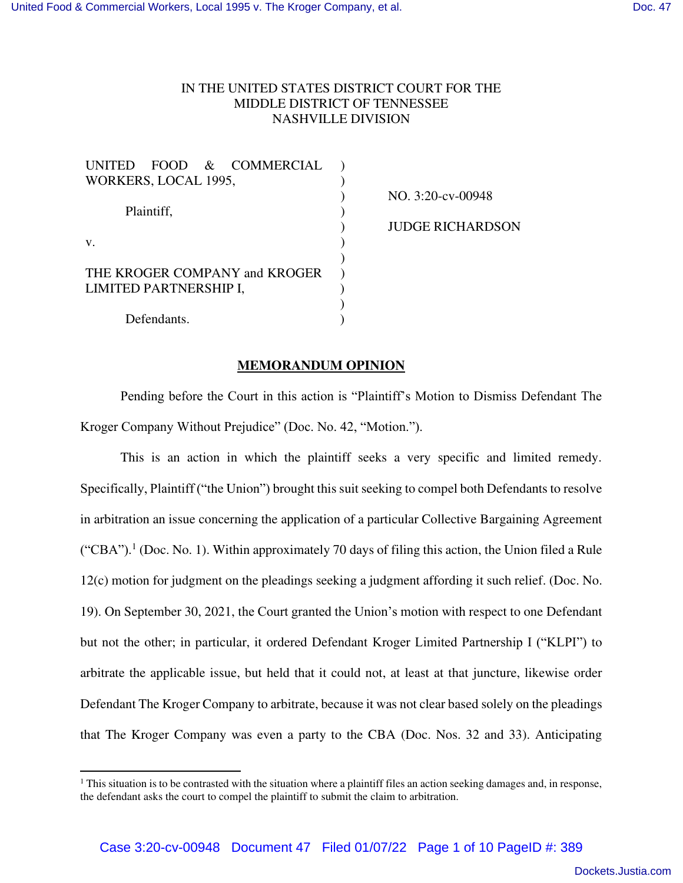## IN THE UNITED STATES DISTRICT COURT FOR THE MIDDLE DISTRICT OF TENNESSEE NASHVILLE DIVISION

| UNITED FOOD & COMMERCIAL      |  |
|-------------------------------|--|
| WORKERS, LOCAL 1995,          |  |
|                               |  |
| Plaintiff,                    |  |
|                               |  |
| $V_{\cdot}$                   |  |
|                               |  |
| THE KROGER COMPANY and KROGER |  |
| LIMITED PARTNERSHIP I,        |  |
|                               |  |
| Defendants.                   |  |

NO. 3:20-cv-00948

JUDGE RICHARDSON

## **MEMORANDUM OPINION**

Pending before the Court in this action is "Plaintiff's Motion to Dismiss Defendant The Kroger Company Without Prejudice" (Doc. No. 42, "Motion.").

This is an action in which the plaintiff seeks a very specific and limited remedy. Specifically, Plaintiff ("the Union") brought this suit seeking to compel both Defendants to resolve in arbitration an issue concerning the application of a particular Collective Bargaining Agreement ("CBA").<sup>1</sup> (Doc. No. 1). Within approximately 70 days of filing this action, the Union filed a Rule 12(c) motion for judgment on the pleadings seeking a judgment affording it such relief. (Doc. No. 19). On September 30, 2021, the Court granted the Union's motion with respect to one Defendant but not the other; in particular, it ordered Defendant Kroger Limited Partnership I ("KLPI") to arbitrate the applicable issue, but held that it could not, at least at that juncture, likewise order Defendant The Kroger Company to arbitrate, because it was not clear based solely on the pleadings that The Kroger Company was even a party to the CBA (Doc. Nos. 32 and 33). Anticipating

<sup>&</sup>lt;sup>1</sup> This situation is to be contrasted with the situation where a plaintiff files an action seeking damages and, in response, the defendant asks the court to compel the plaintiff to submit the claim to arbitration.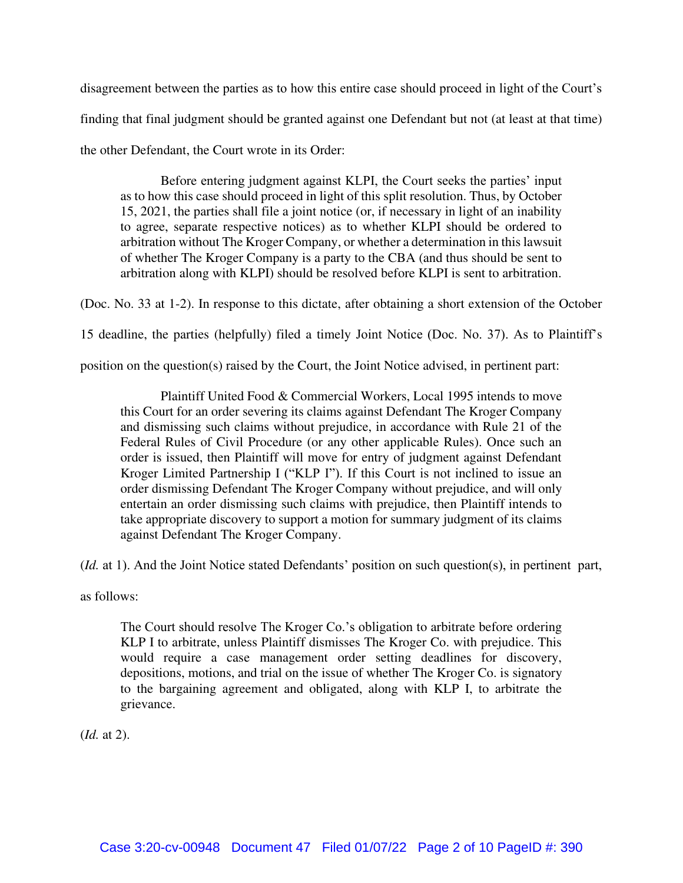disagreement between the parties as to how this entire case should proceed in light of the Court's finding that final judgment should be granted against one Defendant but not (at least at that time) the other Defendant, the Court wrote in its Order:

Before entering judgment against KLPI, the Court seeks the parties' input as to how this case should proceed in light of this split resolution. Thus, by October 15, 2021, the parties shall file a joint notice (or, if necessary in light of an inability to agree, separate respective notices) as to whether KLPI should be ordered to arbitration without The Kroger Company, or whether a determination in this lawsuit of whether The Kroger Company is a party to the CBA (and thus should be sent to arbitration along with KLPI) should be resolved before KLPI is sent to arbitration.

(Doc. No. 33 at 1-2). In response to this dictate, after obtaining a short extension of the October

15 deadline, the parties (helpfully) filed a timely Joint Notice (Doc. No. 37). As to Plaintiff's

position on the question(s) raised by the Court, the Joint Notice advised, in pertinent part:

 Plaintiff United Food & Commercial Workers, Local 1995 intends to move this Court for an order severing its claims against Defendant The Kroger Company and dismissing such claims without prejudice, in accordance with Rule 21 of the Federal Rules of Civil Procedure (or any other applicable Rules). Once such an order is issued, then Plaintiff will move for entry of judgment against Defendant Kroger Limited Partnership I ("KLP I"). If this Court is not inclined to issue an order dismissing Defendant The Kroger Company without prejudice, and will only entertain an order dismissing such claims with prejudice, then Plaintiff intends to take appropriate discovery to support a motion for summary judgment of its claims against Defendant The Kroger Company.

(*Id.* at 1). And the Joint Notice stated Defendants' position on such question(s), in pertinent part,

as follows:

The Court should resolve The Kroger Co.'s obligation to arbitrate before ordering KLP I to arbitrate, unless Plaintiff dismisses The Kroger Co. with prejudice. This would require a case management order setting deadlines for discovery, depositions, motions, and trial on the issue of whether The Kroger Co. is signatory to the bargaining agreement and obligated, along with KLP I, to arbitrate the grievance.

(*Id.* at 2).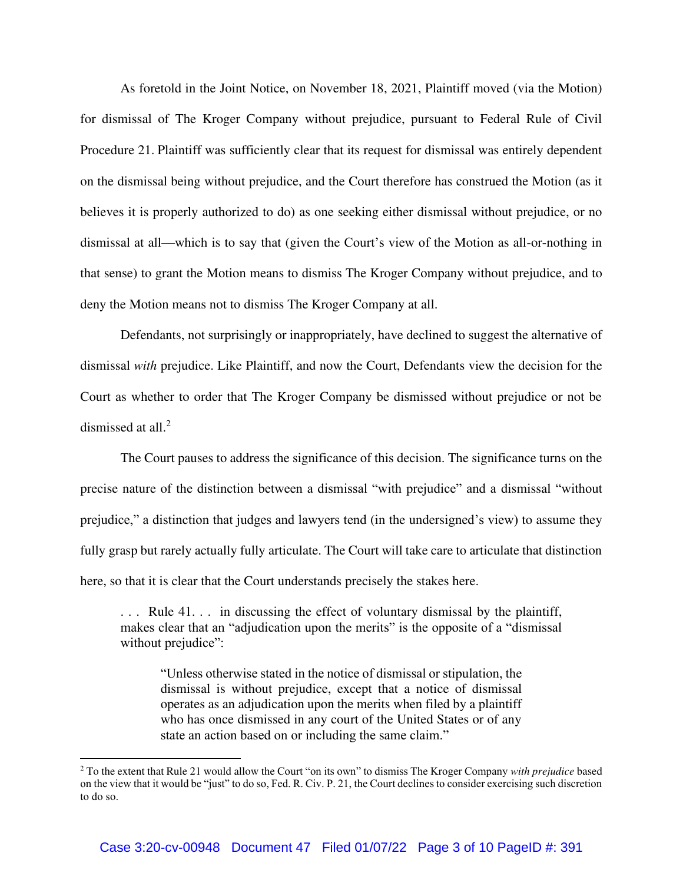As foretold in the Joint Notice, on November 18, 2021, Plaintiff moved (via the Motion) for dismissal of The Kroger Company without prejudice, pursuant to Federal Rule of Civil Procedure 21. Plaintiff was sufficiently clear that its request for dismissal was entirely dependent on the dismissal being without prejudice, and the Court therefore has construed the Motion (as it believes it is properly authorized to do) as one seeking either dismissal without prejudice, or no dismissal at all—which is to say that (given the Court's view of the Motion as all-or-nothing in that sense) to grant the Motion means to dismiss The Kroger Company without prejudice, and to deny the Motion means not to dismiss The Kroger Company at all.

 Defendants, not surprisingly or inappropriately, have declined to suggest the alternative of dismissal *with* prejudice. Like Plaintiff, and now the Court, Defendants view the decision for the Court as whether to order that The Kroger Company be dismissed without prejudice or not be dismissed at all.<sup>2</sup>

The Court pauses to address the significance of this decision. The significance turns on the precise nature of the distinction between a dismissal "with prejudice" and a dismissal "without prejudice," a distinction that judges and lawyers tend (in the undersigned's view) to assume they fully grasp but rarely actually fully articulate. The Court will take care to articulate that distinction here, so that it is clear that the Court understands precisely the stakes here.

. . . Rule 41. . . in discussing the effect of voluntary dismissal by the plaintiff, makes clear that an "adjudication upon the merits" is the opposite of a "dismissal without prejudice":

"Unless otherwise stated in the notice of dismissal or stipulation, the dismissal is without prejudice, except that a notice of dismissal operates as an adjudication upon the merits when filed by a plaintiff who has once dismissed in any court of the United States or of any state an action based on or including the same claim."

<sup>2</sup> To the extent that Rule 21 would allow the Court "on its own" to dismiss The Kroger Company *with prejudice* based on the view that it would be "just" to do so, Fed. R. Civ. P. 21, the Court declines to consider exercising such discretion to do so.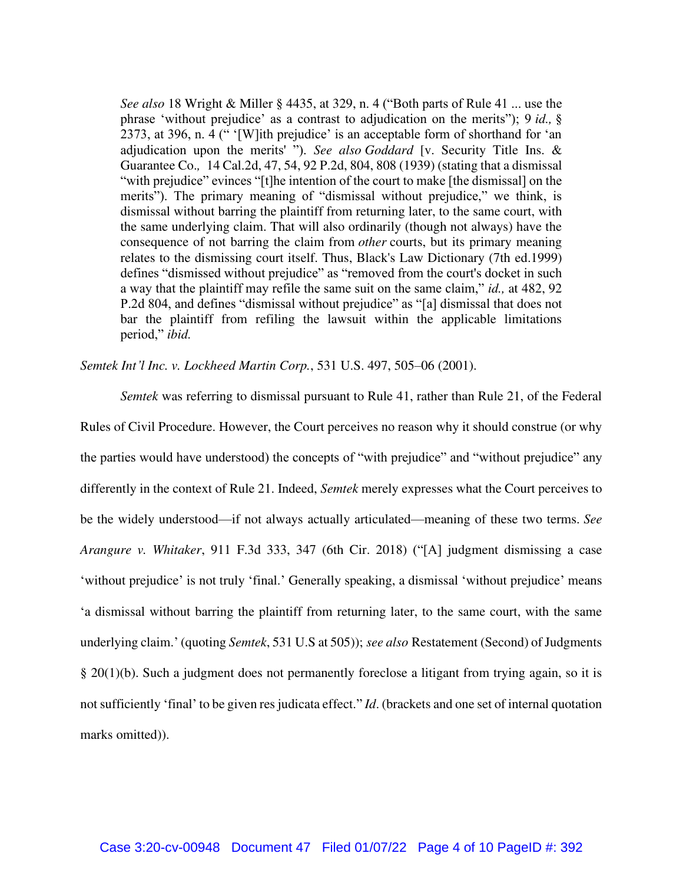*See also* 18 Wright & Miller § 4435, at 329, n. 4 ("Both parts of Rule 41 ... use the phrase 'without prejudice' as a contrast to adjudication on the merits"); 9 *id.,* § 2373, at 396, n. 4 (" '[W]ith prejudice' is an acceptable form of shorthand for 'an adjudication upon the merits' "). *See also Goddard* [v. Security Title Ins. & Guarantee Co.*,* 14 Cal.2d, 47, 54, 92 P.2d, 804, 808 (1939) (stating that a dismissal "with prejudice" evinces "[t]he intention of the court to make [the dismissal] on the merits"). The primary meaning of "dismissal without prejudice," we think, is dismissal without barring the plaintiff from returning later, to the same court, with the same underlying claim. That will also ordinarily (though not always) have the consequence of not barring the claim from *other* courts, but its primary meaning relates to the dismissing court itself. Thus, Black's Law Dictionary (7th ed.1999) defines "dismissed without prejudice" as "removed from the court's docket in such a way that the plaintiff may refile the same suit on the same claim," *id.,* at 482, 92 P.2d 804, and defines "dismissal without prejudice" as "[a] dismissal that does not bar the plaintiff from refiling the lawsuit within the applicable limitations period," *ibid.*

*Semtek Int'l Inc. v. Lockheed Martin Corp.*, 531 U.S. 497, 505–06 (2001).

*Semtek* was referring to dismissal pursuant to Rule 41, rather than Rule 21, of the Federal Rules of Civil Procedure. However, the Court perceives no reason why it should construe (or why the parties would have understood) the concepts of "with prejudice" and "without prejudice" any differently in the context of Rule 21. Indeed, *Semtek* merely expresses what the Court perceives to be the widely understood—if not always actually articulated—meaning of these two terms. *See Arangure v. Whitaker*, 911 F.3d 333, 347 (6th Cir. 2018) ("[A] judgment dismissing a case 'without prejudice' is not truly 'final.' Generally speaking, a dismissal 'without prejudice' means 'a dismissal without barring the plaintiff from returning later, to the same court, with the same underlying claim.' (quoting *Semtek*, 531 U.S at 505)); *see also* Restatement (Second) of Judgments § 20(1)(b). Such a judgment does not permanently foreclose a litigant from trying again, so it is not sufficiently 'final' to be given res judicata effect." *Id*. (brackets and one set of internal quotation marks omitted)).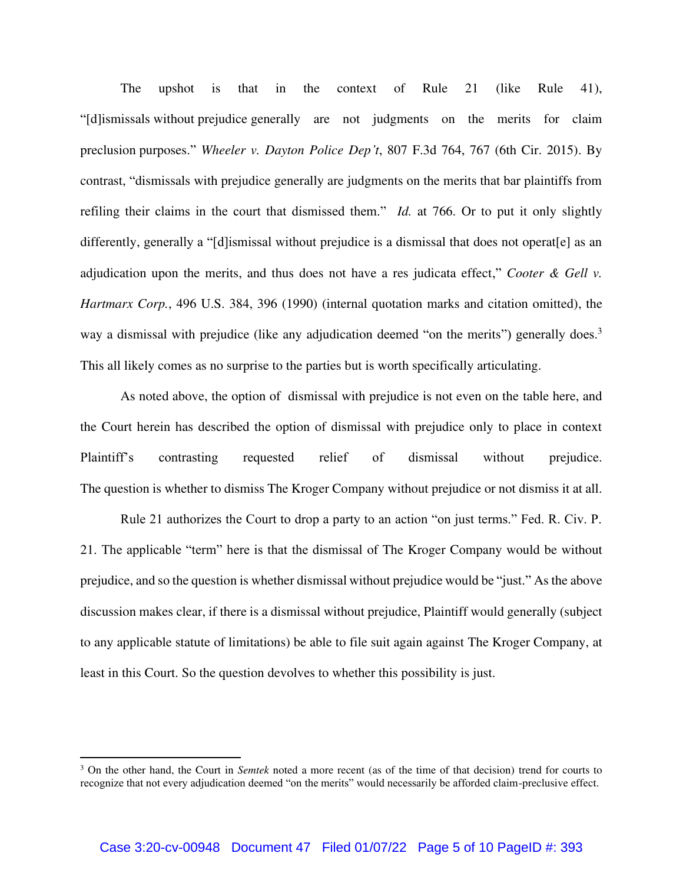The upshot is that in the context of Rule 21 (like Rule 41), "[d]ismissals without prejudice generally are not judgments on the merits for claim preclusion purposes." *Wheeler v. Dayton Police Dep't*, 807 F.3d 764, 767 (6th Cir. 2015). By contrast, "dismissals with prejudice generally are judgments on the merits that bar plaintiffs from refiling their claims in the court that dismissed them." *Id.* at 766. Or to put it only slightly differently, generally a "[d]ismissal without prejudice is a dismissal that does not operat[e] as an adjudication upon the merits, and thus does not have a res judicata effect," *Cooter & Gell v. Hartmarx Corp.*, 496 U.S. 384, 396 (1990) (internal quotation marks and citation omitted), the way a dismissal with prejudice (like any adjudication deemed "on the merits") generally does.<sup>3</sup> This all likely comes as no surprise to the parties but is worth specifically articulating.

As noted above, the option of dismissal with prejudice is not even on the table here, and the Court herein has described the option of dismissal with prejudice only to place in context Plaintiff's contrasting requested relief of dismissal without prejudice. The question is whether to dismiss The Kroger Company without prejudice or not dismiss it at all.

Rule 21 authorizes the Court to drop a party to an action "on just terms." Fed. R. Civ. P. 21. The applicable "term" here is that the dismissal of The Kroger Company would be without prejudice, and so the question is whether dismissal without prejudice would be "just." As the above discussion makes clear, if there is a dismissal without prejudice, Plaintiff would generally (subject to any applicable statute of limitations) be able to file suit again against The Kroger Company, at least in this Court. So the question devolves to whether this possibility is just.

<sup>3</sup> On the other hand, the Court in *Semtek* noted a more recent (as of the time of that decision) trend for courts to recognize that not every adjudication deemed "on the merits" would necessarily be afforded claim-preclusive effect.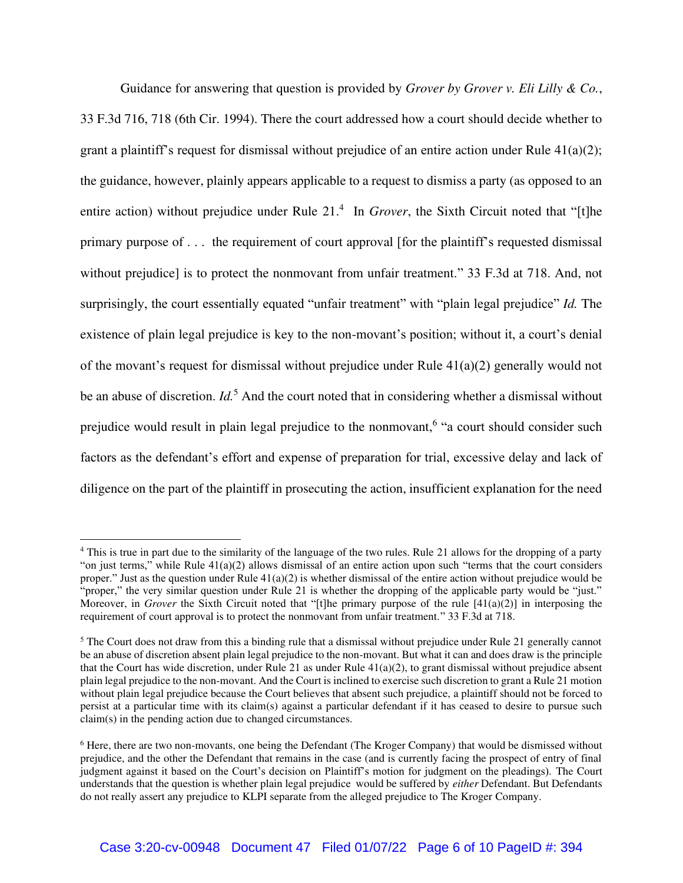Guidance for answering that question is provided by *Grover by Grover v. Eli Lilly & Co.*, 33 F.3d 716, 718 (6th Cir. 1994). There the court addressed how a court should decide whether to grant a plaintiff's request for dismissal without prejudice of an entire action under Rule  $41(a)(2)$ ; the guidance, however, plainly appears applicable to a request to dismiss a party (as opposed to an entire action) without prejudice under Rule 21.<sup>4</sup> In *Grover*, the Sixth Circuit noted that "[t]he primary purpose of . . . the requirement of court approval [for the plaintiff's requested dismissal without prejudice] is to protect the nonmovant from unfair treatment." 33 F.3d at 718. And, not surprisingly, the court essentially equated "unfair treatment" with "plain legal prejudice" *Id.* The existence of plain legal prejudice is key to the non-movant's position; without it, a court's denial of the movant's request for dismissal without prejudice under Rule 41(a)(2) generally would not be an abuse of discretion. *Id.*<sup>5</sup> And the court noted that in considering whether a dismissal without prejudice would result in plain legal prejudice to the nonmovant,<sup>6</sup> "a court should consider such factors as the defendant's effort and expense of preparation for trial, excessive delay and lack of diligence on the part of the plaintiff in prosecuting the action, insufficient explanation for the need

<sup>&</sup>lt;sup>4</sup> This is true in part due to the similarity of the language of the two rules. Rule 21 allows for the dropping of a party "on just terms," while Rule 41(a)(2) allows dismissal of an entire action upon such "terms that the court considers" proper." Just as the question under Rule 41(a)(2) is whether dismissal of the entire action without prejudice would be "proper," the very similar question under Rule 21 is whether the dropping of the applicable party would be "just." Moreover, in *Grover* the Sixth Circuit noted that "[t]he primary purpose of the rule [41(a)(2)] in interposing the requirement of court approval is to protect the nonmovant from unfair treatment." 33 F.3d at 718.

<sup>&</sup>lt;sup>5</sup> The Court does not draw from this a binding rule that a dismissal without prejudice under Rule 21 generally cannot be an abuse of discretion absent plain legal prejudice to the non-movant. But what it can and does draw is the principle that the Court has wide discretion, under Rule 21 as under Rule  $41(a)(2)$ , to grant dismissal without prejudice absent plain legal prejudice to the non-movant. And the Court is inclined to exercise such discretion to grant a Rule 21 motion without plain legal prejudice because the Court believes that absent such prejudice, a plaintiff should not be forced to persist at a particular time with its claim(s) against a particular defendant if it has ceased to desire to pursue such claim(s) in the pending action due to changed circumstances.

<sup>&</sup>lt;sup>6</sup> Here, there are two non-movants, one being the Defendant (The Kroger Company) that would be dismissed without prejudice, and the other the Defendant that remains in the case (and is currently facing the prospect of entry of final judgment against it based on the Court's decision on Plaintiff's motion for judgment on the pleadings). The Court understands that the question is whether plain legal prejudice would be suffered by *either* Defendant. But Defendants do not really assert any prejudice to KLPI separate from the alleged prejudice to The Kroger Company.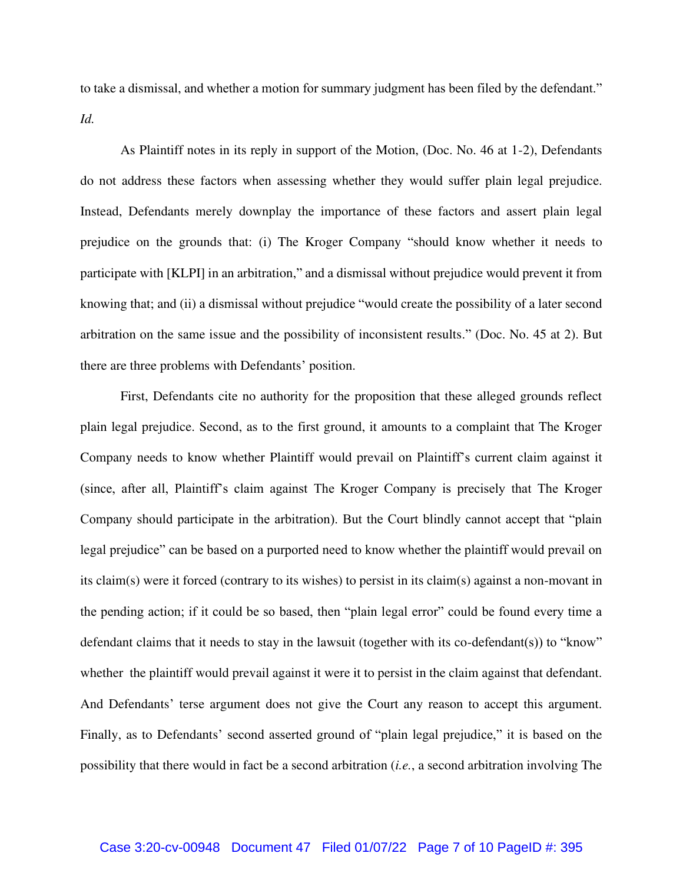to take a dismissal, and whether a motion for summary judgment has been filed by the defendant." *Id.* 

As Plaintiff notes in its reply in support of the Motion, (Doc. No. 46 at 1-2), Defendants do not address these factors when assessing whether they would suffer plain legal prejudice. Instead, Defendants merely downplay the importance of these factors and assert plain legal prejudice on the grounds that: (i) The Kroger Company "should know whether it needs to participate with [KLPI] in an arbitration," and a dismissal without prejudice would prevent it from knowing that; and (ii) a dismissal without prejudice "would create the possibility of a later second arbitration on the same issue and the possibility of inconsistent results." (Doc. No. 45 at 2). But there are three problems with Defendants' position.

First, Defendants cite no authority for the proposition that these alleged grounds reflect plain legal prejudice. Second, as to the first ground, it amounts to a complaint that The Kroger Company needs to know whether Plaintiff would prevail on Plaintiff's current claim against it (since, after all, Plaintiff's claim against The Kroger Company is precisely that The Kroger Company should participate in the arbitration). But the Court blindly cannot accept that "plain legal prejudice" can be based on a purported need to know whether the plaintiff would prevail on its claim(s) were it forced (contrary to its wishes) to persist in its claim(s) against a non-movant in the pending action; if it could be so based, then "plain legal error" could be found every time a defendant claims that it needs to stay in the lawsuit (together with its co-defendant(s)) to "know" whether the plaintiff would prevail against it were it to persist in the claim against that defendant. And Defendants' terse argument does not give the Court any reason to accept this argument. Finally, as to Defendants' second asserted ground of "plain legal prejudice," it is based on the possibility that there would in fact be a second arbitration (*i.e.*, a second arbitration involving The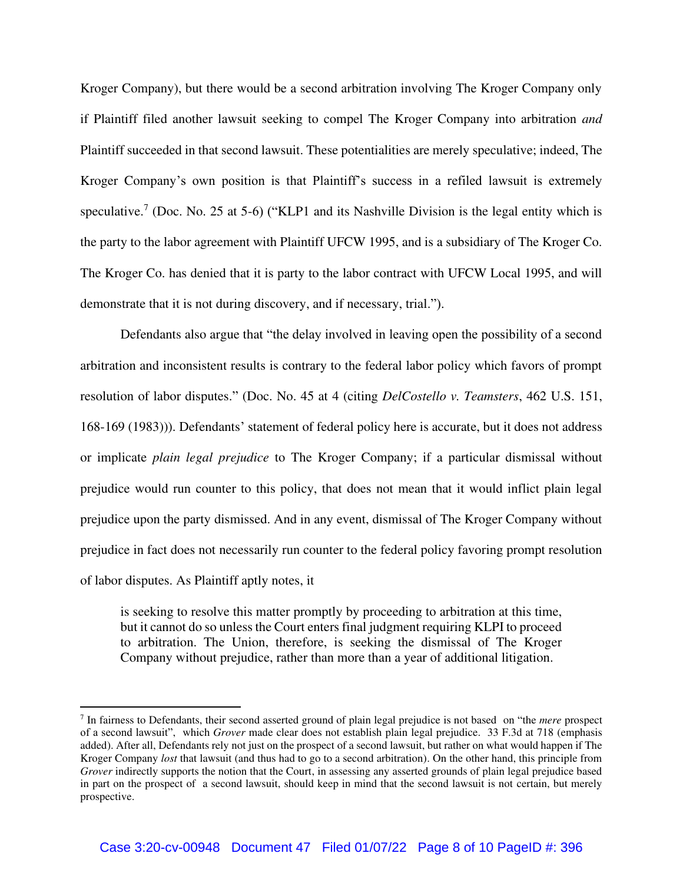Kroger Company), but there would be a second arbitration involving The Kroger Company only if Plaintiff filed another lawsuit seeking to compel The Kroger Company into arbitration *and*  Plaintiff succeeded in that second lawsuit. These potentialities are merely speculative; indeed, The Kroger Company's own position is that Plaintiff's success in a refiled lawsuit is extremely speculative.<sup>7</sup> (Doc. No. 25 at 5-6) ("KLP1 and its Nashville Division is the legal entity which is the party to the labor agreement with Plaintiff UFCW 1995, and is a subsidiary of The Kroger Co. The Kroger Co. has denied that it is party to the labor contract with UFCW Local 1995, and will demonstrate that it is not during discovery, and if necessary, trial.").

Defendants also argue that "the delay involved in leaving open the possibility of a second arbitration and inconsistent results is contrary to the federal labor policy which favors of prompt resolution of labor disputes." (Doc. No. 45 at 4 (citing *DelCostello v. Teamsters*, 462 U.S. 151, 168-169 (1983))). Defendants' statement of federal policy here is accurate, but it does not address or implicate *plain legal prejudice* to The Kroger Company; if a particular dismissal without prejudice would run counter to this policy, that does not mean that it would inflict plain legal prejudice upon the party dismissed. And in any event, dismissal of The Kroger Company without prejudice in fact does not necessarily run counter to the federal policy favoring prompt resolution of labor disputes. As Plaintiff aptly notes, it

is seeking to resolve this matter promptly by proceeding to arbitration at this time, but it cannot do so unless the Court enters final judgment requiring KLPI to proceed to arbitration. The Union, therefore, is seeking the dismissal of The Kroger Company without prejudice, rather than more than a year of additional litigation.

<sup>7</sup> In fairness to Defendants, their second asserted ground of plain legal prejudice is not based on "the *mere* prospect of a second lawsuit", which *Grover* made clear does not establish plain legal prejudice. 33 F.3d at 718 (emphasis added). After all, Defendants rely not just on the prospect of a second lawsuit, but rather on what would happen if The Kroger Company *lost* that lawsuit (and thus had to go to a second arbitration). On the other hand, this principle from *Grover* indirectly supports the notion that the Court, in assessing any asserted grounds of plain legal prejudice based in part on the prospect of a second lawsuit, should keep in mind that the second lawsuit is not certain, but merely prospective.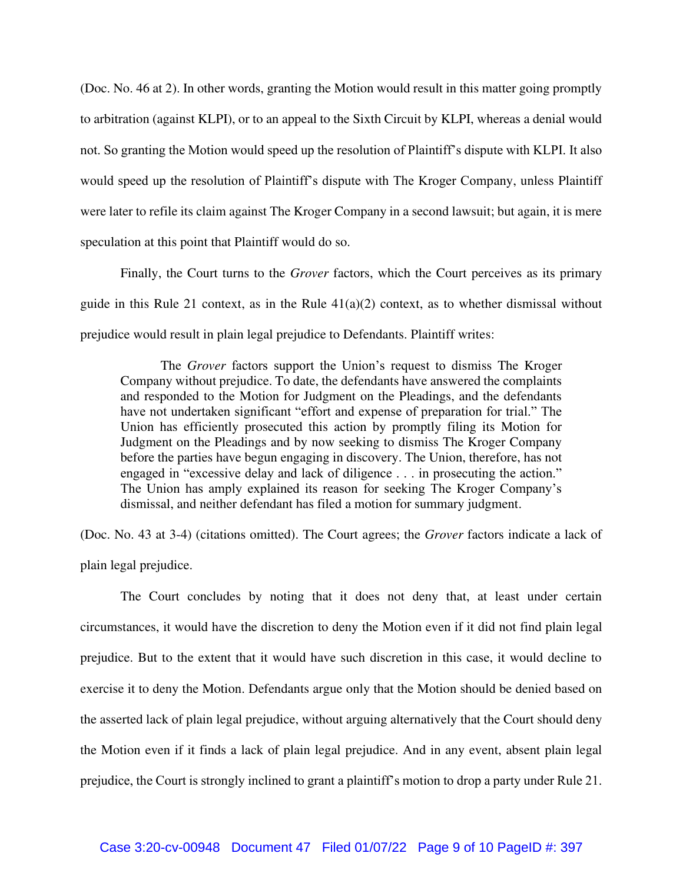(Doc. No. 46 at 2). In other words, granting the Motion would result in this matter going promptly to arbitration (against KLPI), or to an appeal to the Sixth Circuit by KLPI, whereas a denial would not. So granting the Motion would speed up the resolution of Plaintiff's dispute with KLPI. It also would speed up the resolution of Plaintiff's dispute with The Kroger Company, unless Plaintiff were later to refile its claim against The Kroger Company in a second lawsuit; but again, it is mere speculation at this point that Plaintiff would do so.

 Finally, the Court turns to the *Grover* factors, which the Court perceives as its primary guide in this Rule 21 context, as in the Rule  $41(a)(2)$  context, as to whether dismissal without prejudice would result in plain legal prejudice to Defendants. Plaintiff writes:

 The *Grover* factors support the Union's request to dismiss The Kroger Company without prejudice. To date, the defendants have answered the complaints and responded to the Motion for Judgment on the Pleadings, and the defendants have not undertaken significant "effort and expense of preparation for trial." The Union has efficiently prosecuted this action by promptly filing its Motion for Judgment on the Pleadings and by now seeking to dismiss The Kroger Company before the parties have begun engaging in discovery. The Union, therefore, has not engaged in "excessive delay and lack of diligence . . . in prosecuting the action." The Union has amply explained its reason for seeking The Kroger Company's dismissal, and neither defendant has filed a motion for summary judgment.

(Doc. No. 43 at 3-4) (citations omitted). The Court agrees; the *Grover* factors indicate a lack of plain legal prejudice.

 The Court concludes by noting that it does not deny that, at least under certain circumstances, it would have the discretion to deny the Motion even if it did not find plain legal prejudice. But to the extent that it would have such discretion in this case, it would decline to exercise it to deny the Motion. Defendants argue only that the Motion should be denied based on the asserted lack of plain legal prejudice, without arguing alternatively that the Court should deny the Motion even if it finds a lack of plain legal prejudice. And in any event, absent plain legal prejudice, the Court is strongly inclined to grant a plaintiff's motion to drop a party under Rule 21.